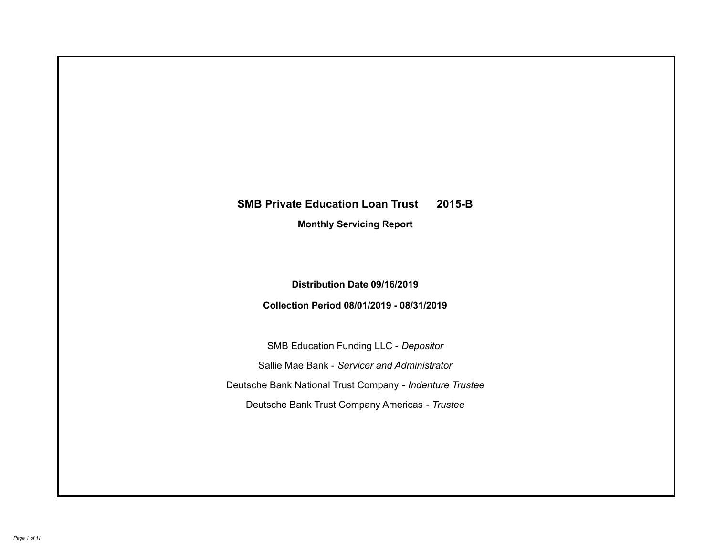# **SMB Private Education Loan Trust 2015-B Monthly Servicing Report**

# **Distribution Date 09/16/2019**

# **Collection Period 08/01/2019 - 08/31/2019**

SMB Education Funding LLC - *Depositor* Sallie Mae Bank - *Servicer and Administrator* Deutsche Bank National Trust Company - *Indenture Trustee* Deutsche Bank Trust Company Americas - *Trustee*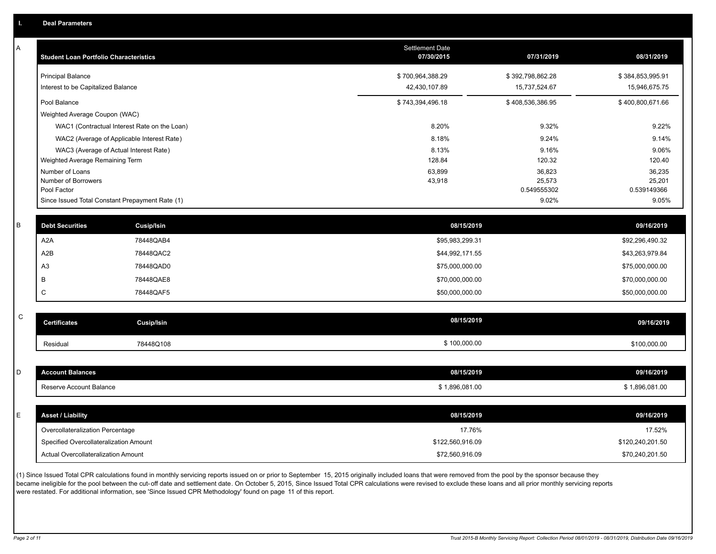| Α           | <b>Student Loan Portfolio Characteristics</b> |                                                 | Settlement Date<br>07/30/2015 | 07/31/2019           | 08/31/2019           |
|-------------|-----------------------------------------------|-------------------------------------------------|-------------------------------|----------------------|----------------------|
|             | <b>Principal Balance</b>                      |                                                 | \$700,964,388.29              | \$392,798,862.28     | \$384,853,995.91     |
|             | Interest to be Capitalized Balance            |                                                 | 42,430,107.89                 | 15,737,524.67        | 15,946,675.75        |
|             | Pool Balance                                  |                                                 | \$743,394,496.18              | \$408,536,386.95     | \$400,800,671.66     |
|             | Weighted Average Coupon (WAC)                 |                                                 |                               |                      |                      |
|             |                                               | WAC1 (Contractual Interest Rate on the Loan)    | 8.20%                         | 9.32%                | 9.22%                |
|             |                                               | WAC2 (Average of Applicable Interest Rate)      | 8.18%                         | 9.24%                | 9.14%                |
|             |                                               | WAC3 (Average of Actual Interest Rate)          | 8.13%                         | 9.16%                | 9.06%                |
|             | Weighted Average Remaining Term               |                                                 | 128.84                        | 120.32               | 120.40               |
|             | Number of Loans                               |                                                 | 63,899                        | 36,823               | 36,235               |
|             | Number of Borrowers                           |                                                 | 43,918                        | 25,573               | 25,201               |
|             | Pool Factor                                   | Since Issued Total Constant Prepayment Rate (1) |                               | 0.549555302<br>9.02% | 0.539149366<br>9.05% |
|             |                                               |                                                 |                               |                      |                      |
| B           | <b>Debt Securities</b>                        | <b>Cusip/Isin</b>                               | 08/15/2019                    |                      | 09/16/2019           |
|             | A <sub>2</sub> A                              | 78448QAB4                                       | \$95,983,299.31               |                      | \$92,296,490.32      |
|             | A2B                                           | 78448QAC2                                       | \$44,992,171.55               |                      | \$43,263,979.84      |
|             | A <sub>3</sub>                                | 78448QAD0                                       | \$75,000,000.00               |                      | \$75,000,000.00      |
|             | B                                             | 78448QAE8                                       | \$70,000,000.00               |                      | \$70,000,000.00      |
|             | C                                             | 78448QAF5                                       | \$50,000,000.00               |                      | \$50,000,000.00      |
|             |                                               |                                                 |                               |                      |                      |
| $\mathsf C$ | <b>Certificates</b>                           | <b>Cusip/Isin</b>                               | 08/15/2019                    |                      | 09/16/2019           |
|             | Residual                                      | 78448Q108                                       | \$100,000.00                  |                      | \$100,000.00         |
|             |                                               |                                                 |                               |                      |                      |
| D           | <b>Account Balances</b>                       |                                                 | 08/15/2019                    |                      | 09/16/2019           |
|             | Reserve Account Balance                       |                                                 | \$1,896,081.00                |                      | \$1,896,081.00       |
|             |                                               |                                                 |                               |                      |                      |
| E           | <b>Asset / Liability</b>                      |                                                 | 08/15/2019                    |                      | 09/16/2019           |
|             | Overcollateralization Percentage              |                                                 | 17.76%                        |                      | 17.52%               |
|             | Specified Overcollateralization Amount        |                                                 | \$122,560,916.09              |                      | \$120,240,201.50     |
|             | <b>Actual Overcollateralization Amount</b>    |                                                 | \$72,560,916.09               |                      | \$70,240,201.50      |

(1) Since Issued Total CPR calculations found in monthly servicing reports issued on or prior to September 15, 2015 originally included loans that were removed from the pool by the sponsor because they .<br>became ineligible for the pool between the cut-off date and settlement date. On October 5, 2015, Since Issued Total CPR calculations were revised to exclude these loans and all prior monthly servicing reports were restated. For additional information, see 'Since Issued CPR Methodology' found on page 11 of this report.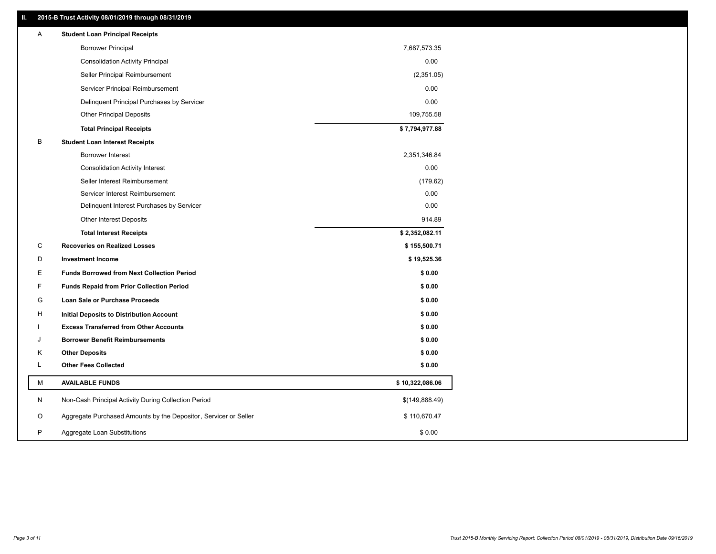## **II. 2015-B Trust Activity 08/01/2019 through 08/31/2019**

| <b>Borrower Principal</b><br>7,687,573.35<br>0.00<br><b>Consolidation Activity Principal</b><br>(2,351.05)<br>Seller Principal Reimbursement<br>Servicer Principal Reimbursement<br>0.00<br>0.00<br>Delinquent Principal Purchases by Servicer<br><b>Other Principal Deposits</b><br>109,755.58<br>\$7,794,977.88<br><b>Total Principal Receipts</b><br>В<br><b>Student Loan Interest Receipts</b><br>Borrower Interest<br>2,351,346.84<br>0.00<br><b>Consolidation Activity Interest</b><br>Seller Interest Reimbursement<br>(179.62)<br>0.00<br>Servicer Interest Reimbursement<br>0.00<br>Delinquent Interest Purchases by Servicer<br>914.89<br><b>Other Interest Deposits</b><br>\$2,352,082.11<br><b>Total Interest Receipts</b><br>C<br><b>Recoveries on Realized Losses</b><br>\$155,500.71<br>D<br><b>Investment Income</b><br>\$19,525.36<br>Е<br><b>Funds Borrowed from Next Collection Period</b><br>\$0.00<br>F<br>\$0.00<br><b>Funds Repaid from Prior Collection Period</b><br>G<br>\$0.00<br>Loan Sale or Purchase Proceeds<br>\$0.00<br>н<br>Initial Deposits to Distribution Account<br><b>Excess Transferred from Other Accounts</b><br>\$0.00<br><b>Borrower Benefit Reimbursements</b><br>\$0.00<br>J<br>Κ<br><b>Other Deposits</b><br>\$0.00<br>L<br><b>Other Fees Collected</b><br>\$0.00<br>М<br><b>AVAILABLE FUNDS</b><br>\$10,322,086.06<br>N<br>Non-Cash Principal Activity During Collection Period<br>\$(149,888.49)<br>Aggregate Purchased Amounts by the Depositor, Servicer or Seller<br>O<br>\$110,670.47<br>P<br>Aggregate Loan Substitutions<br>\$0.00 | Α | <b>Student Loan Principal Receipts</b> |  |
|-------------------------------------------------------------------------------------------------------------------------------------------------------------------------------------------------------------------------------------------------------------------------------------------------------------------------------------------------------------------------------------------------------------------------------------------------------------------------------------------------------------------------------------------------------------------------------------------------------------------------------------------------------------------------------------------------------------------------------------------------------------------------------------------------------------------------------------------------------------------------------------------------------------------------------------------------------------------------------------------------------------------------------------------------------------------------------------------------------------------------------------------------------------------------------------------------------------------------------------------------------------------------------------------------------------------------------------------------------------------------------------------------------------------------------------------------------------------------------------------------------------------------------------------------------------------------------------------|---|----------------------------------------|--|
|                                                                                                                                                                                                                                                                                                                                                                                                                                                                                                                                                                                                                                                                                                                                                                                                                                                                                                                                                                                                                                                                                                                                                                                                                                                                                                                                                                                                                                                                                                                                                                                           |   |                                        |  |
|                                                                                                                                                                                                                                                                                                                                                                                                                                                                                                                                                                                                                                                                                                                                                                                                                                                                                                                                                                                                                                                                                                                                                                                                                                                                                                                                                                                                                                                                                                                                                                                           |   |                                        |  |
|                                                                                                                                                                                                                                                                                                                                                                                                                                                                                                                                                                                                                                                                                                                                                                                                                                                                                                                                                                                                                                                                                                                                                                                                                                                                                                                                                                                                                                                                                                                                                                                           |   |                                        |  |
|                                                                                                                                                                                                                                                                                                                                                                                                                                                                                                                                                                                                                                                                                                                                                                                                                                                                                                                                                                                                                                                                                                                                                                                                                                                                                                                                                                                                                                                                                                                                                                                           |   |                                        |  |
|                                                                                                                                                                                                                                                                                                                                                                                                                                                                                                                                                                                                                                                                                                                                                                                                                                                                                                                                                                                                                                                                                                                                                                                                                                                                                                                                                                                                                                                                                                                                                                                           |   |                                        |  |
|                                                                                                                                                                                                                                                                                                                                                                                                                                                                                                                                                                                                                                                                                                                                                                                                                                                                                                                                                                                                                                                                                                                                                                                                                                                                                                                                                                                                                                                                                                                                                                                           |   |                                        |  |
|                                                                                                                                                                                                                                                                                                                                                                                                                                                                                                                                                                                                                                                                                                                                                                                                                                                                                                                                                                                                                                                                                                                                                                                                                                                                                                                                                                                                                                                                                                                                                                                           |   |                                        |  |
|                                                                                                                                                                                                                                                                                                                                                                                                                                                                                                                                                                                                                                                                                                                                                                                                                                                                                                                                                                                                                                                                                                                                                                                                                                                                                                                                                                                                                                                                                                                                                                                           |   |                                        |  |
|                                                                                                                                                                                                                                                                                                                                                                                                                                                                                                                                                                                                                                                                                                                                                                                                                                                                                                                                                                                                                                                                                                                                                                                                                                                                                                                                                                                                                                                                                                                                                                                           |   |                                        |  |
|                                                                                                                                                                                                                                                                                                                                                                                                                                                                                                                                                                                                                                                                                                                                                                                                                                                                                                                                                                                                                                                                                                                                                                                                                                                                                                                                                                                                                                                                                                                                                                                           |   |                                        |  |
|                                                                                                                                                                                                                                                                                                                                                                                                                                                                                                                                                                                                                                                                                                                                                                                                                                                                                                                                                                                                                                                                                                                                                                                                                                                                                                                                                                                                                                                                                                                                                                                           |   |                                        |  |
|                                                                                                                                                                                                                                                                                                                                                                                                                                                                                                                                                                                                                                                                                                                                                                                                                                                                                                                                                                                                                                                                                                                                                                                                                                                                                                                                                                                                                                                                                                                                                                                           |   |                                        |  |
|                                                                                                                                                                                                                                                                                                                                                                                                                                                                                                                                                                                                                                                                                                                                                                                                                                                                                                                                                                                                                                                                                                                                                                                                                                                                                                                                                                                                                                                                                                                                                                                           |   |                                        |  |
|                                                                                                                                                                                                                                                                                                                                                                                                                                                                                                                                                                                                                                                                                                                                                                                                                                                                                                                                                                                                                                                                                                                                                                                                                                                                                                                                                                                                                                                                                                                                                                                           |   |                                        |  |
|                                                                                                                                                                                                                                                                                                                                                                                                                                                                                                                                                                                                                                                                                                                                                                                                                                                                                                                                                                                                                                                                                                                                                                                                                                                                                                                                                                                                                                                                                                                                                                                           |   |                                        |  |
|                                                                                                                                                                                                                                                                                                                                                                                                                                                                                                                                                                                                                                                                                                                                                                                                                                                                                                                                                                                                                                                                                                                                                                                                                                                                                                                                                                                                                                                                                                                                                                                           |   |                                        |  |
|                                                                                                                                                                                                                                                                                                                                                                                                                                                                                                                                                                                                                                                                                                                                                                                                                                                                                                                                                                                                                                                                                                                                                                                                                                                                                                                                                                                                                                                                                                                                                                                           |   |                                        |  |
|                                                                                                                                                                                                                                                                                                                                                                                                                                                                                                                                                                                                                                                                                                                                                                                                                                                                                                                                                                                                                                                                                                                                                                                                                                                                                                                                                                                                                                                                                                                                                                                           |   |                                        |  |
|                                                                                                                                                                                                                                                                                                                                                                                                                                                                                                                                                                                                                                                                                                                                                                                                                                                                                                                                                                                                                                                                                                                                                                                                                                                                                                                                                                                                                                                                                                                                                                                           |   |                                        |  |
|                                                                                                                                                                                                                                                                                                                                                                                                                                                                                                                                                                                                                                                                                                                                                                                                                                                                                                                                                                                                                                                                                                                                                                                                                                                                                                                                                                                                                                                                                                                                                                                           |   |                                        |  |
|                                                                                                                                                                                                                                                                                                                                                                                                                                                                                                                                                                                                                                                                                                                                                                                                                                                                                                                                                                                                                                                                                                                                                                                                                                                                                                                                                                                                                                                                                                                                                                                           |   |                                        |  |
|                                                                                                                                                                                                                                                                                                                                                                                                                                                                                                                                                                                                                                                                                                                                                                                                                                                                                                                                                                                                                                                                                                                                                                                                                                                                                                                                                                                                                                                                                                                                                                                           |   |                                        |  |
|                                                                                                                                                                                                                                                                                                                                                                                                                                                                                                                                                                                                                                                                                                                                                                                                                                                                                                                                                                                                                                                                                                                                                                                                                                                                                                                                                                                                                                                                                                                                                                                           |   |                                        |  |
|                                                                                                                                                                                                                                                                                                                                                                                                                                                                                                                                                                                                                                                                                                                                                                                                                                                                                                                                                                                                                                                                                                                                                                                                                                                                                                                                                                                                                                                                                                                                                                                           |   |                                        |  |
|                                                                                                                                                                                                                                                                                                                                                                                                                                                                                                                                                                                                                                                                                                                                                                                                                                                                                                                                                                                                                                                                                                                                                                                                                                                                                                                                                                                                                                                                                                                                                                                           |   |                                        |  |
|                                                                                                                                                                                                                                                                                                                                                                                                                                                                                                                                                                                                                                                                                                                                                                                                                                                                                                                                                                                                                                                                                                                                                                                                                                                                                                                                                                                                                                                                                                                                                                                           |   |                                        |  |
|                                                                                                                                                                                                                                                                                                                                                                                                                                                                                                                                                                                                                                                                                                                                                                                                                                                                                                                                                                                                                                                                                                                                                                                                                                                                                                                                                                                                                                                                                                                                                                                           |   |                                        |  |
|                                                                                                                                                                                                                                                                                                                                                                                                                                                                                                                                                                                                                                                                                                                                                                                                                                                                                                                                                                                                                                                                                                                                                                                                                                                                                                                                                                                                                                                                                                                                                                                           |   |                                        |  |
|                                                                                                                                                                                                                                                                                                                                                                                                                                                                                                                                                                                                                                                                                                                                                                                                                                                                                                                                                                                                                                                                                                                                                                                                                                                                                                                                                                                                                                                                                                                                                                                           |   |                                        |  |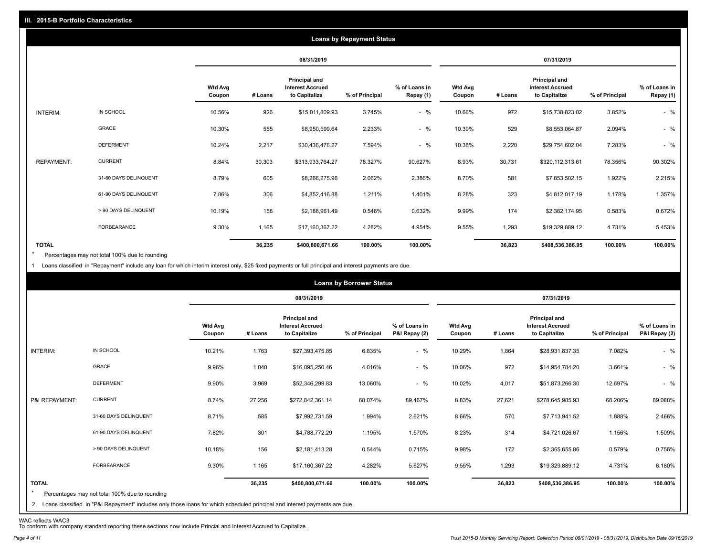|                   |                       |                          |         |                                                           | <b>Loans by Repayment Status</b> |                            |                          |         |                                                           |                |                            |
|-------------------|-----------------------|--------------------------|---------|-----------------------------------------------------------|----------------------------------|----------------------------|--------------------------|---------|-----------------------------------------------------------|----------------|----------------------------|
|                   |                       |                          |         | 08/31/2019                                                |                                  |                            |                          |         | 07/31/2019                                                |                |                            |
|                   |                       | <b>Wtd Avg</b><br>Coupon | # Loans | Principal and<br><b>Interest Accrued</b><br>to Capitalize | % of Principal                   | % of Loans in<br>Repay (1) | <b>Wtd Avg</b><br>Coupon | # Loans | Principal and<br><b>Interest Accrued</b><br>to Capitalize | % of Principal | % of Loans in<br>Repay (1) |
| INTERIM:          | IN SCHOOL             | 10.56%                   | 926     | \$15,011,809.93                                           | 3.745%                           | $-$ %                      | 10.66%                   | 972     | \$15,738,823.02                                           | 3.852%         | $-$ %                      |
|                   | GRACE                 | 10.30%                   | 555     | \$8,950,599.64                                            | 2.233%                           | $-$ %                      | 10.39%                   | 529     | \$8,553,064.87                                            | 2.094%         | $-$ %                      |
|                   | <b>DEFERMENT</b>      | 10.24%                   | 2,217   | \$30,436,476.27                                           | 7.594%                           | $-$ %                      | 10.38%                   | 2,220   | \$29,754,602.04                                           | 7.283%         | $-$ %                      |
| <b>REPAYMENT:</b> | <b>CURRENT</b>        | 8.84%                    | 30,303  | \$313,933,764.27                                          | 78.327%                          | 90.627%                    | 8.93%                    | 30,731  | \$320,112,313.61                                          | 78.356%        | 90.302%                    |
|                   | 31-60 DAYS DELINQUENT | 8.79%                    | 605     | \$8,266,275.96                                            | 2.062%                           | 2.386%                     | 8.70%                    | 581     | \$7,853,502.15                                            | 1.922%         | 2.215%                     |
|                   | 61-90 DAYS DELINQUENT | 7.86%                    | 306     | \$4,852,416.88                                            | 1.211%                           | 1.401%                     | 8.28%                    | 323     | \$4,812,017.19                                            | 1.178%         | 1.357%                     |
|                   | > 90 DAYS DELINQUENT  | 10.19%                   | 158     | \$2,188,961.49                                            | 0.546%                           | 0.632%                     | 9.99%                    | 174     | \$2,382,174.95                                            | 0.583%         | 0.672%                     |
|                   | FORBEARANCE           | 9.30%                    | 1,165   | \$17,160,367.22                                           | 4.282%                           | 4.954%                     | 9.55%                    | 1,293   | \$19,329,889.12                                           | 4.731%         | 5.453%                     |
| <b>TOTAL</b>      |                       |                          | 36,235  | \$400,800,671.66                                          | 100.00%                          | 100.00%                    |                          | 36,823  | \$408,536,386.95                                          | 100.00%        | 100.00%                    |

Percentages may not total 100% due to rounding \*

1 Loans classified in "Repayment" include any loan for which interim interest only, \$25 fixed payments or full principal and interest payments are due.

|                         |                                                                                                                              |                          |         |                                                           | <b>Loans by Borrower Status</b> |                                |                          |         |                                                           |                |                                |
|-------------------------|------------------------------------------------------------------------------------------------------------------------------|--------------------------|---------|-----------------------------------------------------------|---------------------------------|--------------------------------|--------------------------|---------|-----------------------------------------------------------|----------------|--------------------------------|
|                         |                                                                                                                              |                          |         | 08/31/2019                                                |                                 |                                |                          |         | 07/31/2019                                                |                |                                |
|                         |                                                                                                                              | <b>Wtd Avg</b><br>Coupon | # Loans | Principal and<br><b>Interest Accrued</b><br>to Capitalize | % of Principal                  | % of Loans in<br>P&I Repay (2) | <b>Wtd Avg</b><br>Coupon | # Loans | Principal and<br><b>Interest Accrued</b><br>to Capitalize | % of Principal | % of Loans in<br>P&I Repay (2) |
| INTERIM:                | IN SCHOOL                                                                                                                    | 10.21%                   | 1,763   | \$27,393,475.85                                           | 6.835%                          | $-$ %                          | 10.29%                   | 1,864   | \$28,931,837.35                                           | 7.082%         | $-$ %                          |
|                         | GRACE                                                                                                                        | 9.96%                    | 1,040   | \$16,095,250.46                                           | 4.016%                          | $-$ %                          | 10.06%                   | 972     | \$14,954,784.20                                           | 3.661%         | $-$ %                          |
|                         | <b>DEFERMENT</b>                                                                                                             | 9.90%                    | 3,969   | \$52,346,299.83                                           | 13.060%                         | $-$ %                          | 10.02%                   | 4,017   | \$51,873,266.30                                           | 12.697%        | $-$ %                          |
| P&I REPAYMENT:          | <b>CURRENT</b>                                                                                                               | 8.74%                    | 27,256  | \$272,842,361.14                                          | 68.074%                         | 89.467%                        | 8.83%                    | 27,621  | \$278,645,985.93                                          | 68.206%        | 89.088%                        |
|                         | 31-60 DAYS DELINQUENT                                                                                                        | 8.71%                    | 585     | \$7,992,731.59                                            | 1.994%                          | 2.621%                         | 8.66%                    | 570     | \$7,713,941.52                                            | 1.888%         | 2.466%                         |
|                         | 61-90 DAYS DELINQUENT                                                                                                        | 7.82%                    | 301     | \$4,788,772.29                                            | 1.195%                          | 1.570%                         | 8.23%                    | 314     | \$4,721,026.67                                            | 1.156%         | 1.509%                         |
|                         | > 90 DAYS DELINQUENT                                                                                                         | 10.18%                   | 156     | \$2,181,413.28                                            | 0.544%                          | 0.715%                         | 9.98%                    | 172     | \$2,365,655.86                                            | 0.579%         | 0.756%                         |
|                         | FORBEARANCE                                                                                                                  | 9.30%                    | 1,165   | \$17,160,367.22                                           | 4.282%                          | 5.627%                         | 9.55%                    | 1,293   | \$19,329,889.12                                           | 4.731%         | 6.180%                         |
| <b>TOTAL</b><br>$\star$ | Percentages may not total 100% due to rounding                                                                               |                          | 36,235  | \$400,800,671.66                                          | 100.00%                         | 100.00%                        |                          | 36,823  | \$408,536,386.95                                          | 100.00%        | 100.00%                        |
|                         | 2 Loans classified in "P&I Repayment" includes only those loans for which scheduled principal and interest payments are due. |                          |         |                                                           |                                 |                                |                          |         |                                                           |                |                                |

WAC reflects WAC3 To conform with company standard reporting these sections now include Princial and Interest Accrued to Capitalize .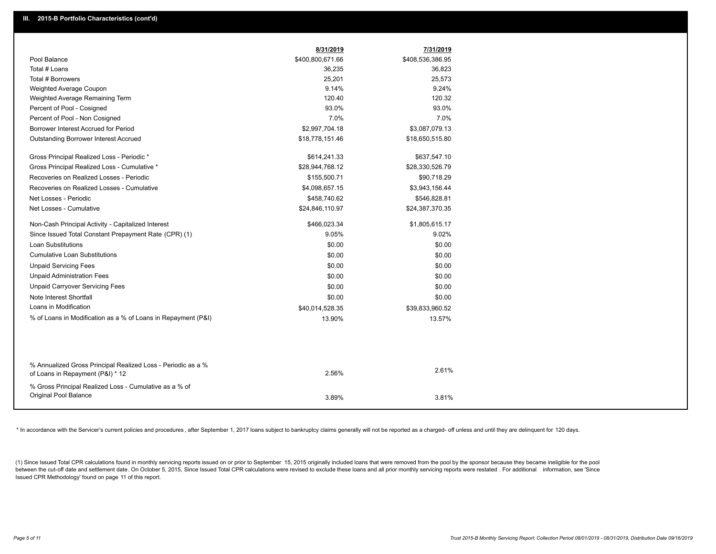|                                                                                                  | 8/31/2019        | 7/31/2019        |
|--------------------------------------------------------------------------------------------------|------------------|------------------|
| Pool Balance                                                                                     | \$400,800,671.66 | \$408,536,386.95 |
| Total # Loans                                                                                    | 36,235           | 36,823           |
| Total # Borrowers                                                                                | 25,201           | 25,573           |
| Weighted Average Coupon                                                                          | 9.14%            | 9.24%            |
| Weighted Average Remaining Term                                                                  | 120.40           | 120.32           |
| Percent of Pool - Cosigned                                                                       | 93.0%            | 93.0%            |
| Percent of Pool - Non Cosigned                                                                   | 7.0%             | 7.0%             |
| Borrower Interest Accrued for Period                                                             | \$2,997,704.18   | \$3,087,079.13   |
| Outstanding Borrower Interest Accrued                                                            | \$18,778,151.46  | \$18,650,515.80  |
| Gross Principal Realized Loss - Periodic *                                                       | \$614,241.33     | \$637,547.10     |
| Gross Principal Realized Loss - Cumulative *                                                     | \$28,944,768.12  | \$28,330,526.79  |
| Recoveries on Realized Losses - Periodic                                                         | \$155,500.71     | \$90,718.29      |
| Recoveries on Realized Losses - Cumulative                                                       | \$4,098,657.15   | \$3,943,156.44   |
| Net Losses - Periodic                                                                            | \$458,740.62     | \$546,828.81     |
| Net Losses - Cumulative                                                                          | \$24,846,110.97  | \$24,387,370.35  |
| Non-Cash Principal Activity - Capitalized Interest                                               | \$466,023.34     | \$1,805,615.17   |
| Since Issued Total Constant Prepayment Rate (CPR) (1)                                            | 9.05%            | 9.02%            |
| <b>Loan Substitutions</b>                                                                        | \$0.00           | \$0.00           |
| <b>Cumulative Loan Substitutions</b>                                                             | \$0.00           | \$0.00           |
| <b>Unpaid Servicing Fees</b>                                                                     | \$0.00           | \$0.00           |
| <b>Unpaid Administration Fees</b>                                                                | \$0.00           | \$0.00           |
| <b>Unpaid Carryover Servicing Fees</b>                                                           | \$0.00           | \$0.00           |
| Note Interest Shortfall                                                                          | \$0.00           | \$0.00           |
| Loans in Modification                                                                            | \$40,014,528.35  | \$39,833,960.52  |
| % of Loans in Modification as a % of Loans in Repayment (P&I)                                    | 13.90%           | 13.57%           |
|                                                                                                  |                  |                  |
|                                                                                                  |                  |                  |
| % Annualized Gross Principal Realized Loss - Periodic as a %<br>of Loans in Repayment (P&I) * 12 | 2.56%            | 2.61%            |
| % Gross Principal Realized Loss - Cumulative as a % of                                           |                  |                  |
| <b>Original Pool Balance</b>                                                                     | 3.89%            | 3.81%            |

\* In accordance with the Servicer's current policies and procedures, after September 1, 2017 loans subject to bankruptcy claims generally will not be reported as a charged- off unless and until they are delinquent for 120

(1) Since Issued Total CPR calculations found in monthly servicing reports issued on or prior to September 15, 2015 originally included loans that were removed from the pool by the sponsor because they became ineligible fo between the cut-off date and settlement date. On October 5, 2015, Since Issued Total CPR calculations were revised to exclude these loans and all prior monthly servicing reports were restated. For additional information, s Issued CPR Methodology' found on page 11 of this report.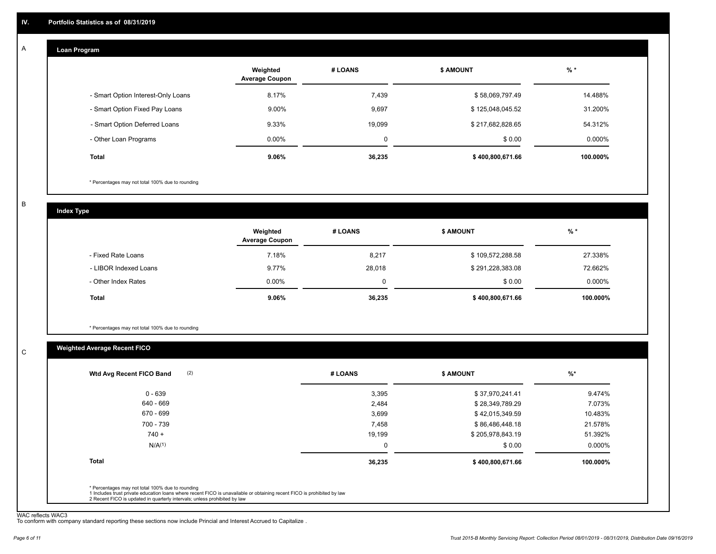#### **Loan Program**  A

|                                    | Weighted<br><b>Average Coupon</b> | # LOANS | <b>S AMOUNT</b>  | $%$ *     |
|------------------------------------|-----------------------------------|---------|------------------|-----------|
| - Smart Option Interest-Only Loans | 8.17%                             | 7.439   | \$58,069,797.49  | 14.488%   |
| - Smart Option Fixed Pay Loans     | 9.00%                             | 9,697   | \$125,048,045.52 | 31.200%   |
| - Smart Option Deferred Loans      | 9.33%                             | 19,099  | \$217,682,828.65 | 54.312%   |
| - Other Loan Programs              | $0.00\%$                          | 0       | \$0.00           | $0.000\%$ |
| <b>Total</b>                       | $9.06\%$                          | 36,235  | \$400,800,671.66 | 100.000%  |

\* Percentages may not total 100% due to rounding

B

C

**Index Type**

|                       | Weighted<br><b>Average Coupon</b> | # LOANS | <b>\$ AMOUNT</b> | $%$ *     |
|-----------------------|-----------------------------------|---------|------------------|-----------|
| - Fixed Rate Loans    | 7.18%                             | 8,217   | \$109,572,288.58 | 27.338%   |
| - LIBOR Indexed Loans | 9.77%                             | 28,018  | \$291,228,383.08 | 72.662%   |
| - Other Index Rates   | $0.00\%$                          |         | \$0.00           | $0.000\%$ |
| Total                 | 9.06%                             | 36,235  | \$400,800,671.66 | 100.000%  |

\* Percentages may not total 100% due to rounding

# **Weighted Average Recent FICO**

|                    | # LOANS | <b>\$ AMOUNT</b> | $%$ *     |
|--------------------|---------|------------------|-----------|
| $0 - 639$          | 3,395   | \$37,970,241.41  | 9.474%    |
| 640 - 669          | 2,484   | \$28,349,789.29  | 7.073%    |
| 670 - 699          | 3,699   | \$42,015,349.59  | 10.483%   |
| 700 - 739          | 7,458   | \$86,486,448.18  | 21.578%   |
| $740 +$            | 19,199  | \$205,978,843.19 | 51.392%   |
| N/A <sup>(1)</sup> | 0       | \$0.00           | $0.000\%$ |
| <b>Total</b>       | 36,235  | \$400,800,671.66 | 100.000%  |

WAC reflects WAC3 To conform with company standard reporting these sections now include Princial and Interest Accrued to Capitalize .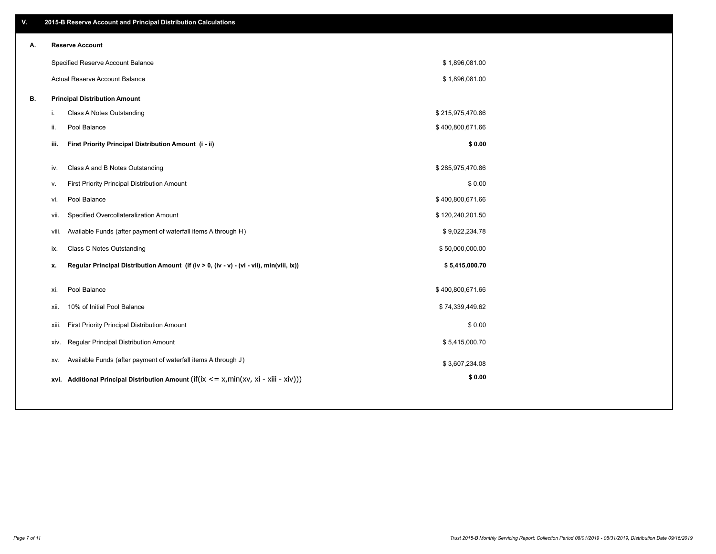| V. |                        | 2015-B Reserve Account and Principal Distribution Calculations                           |                  |  |
|----|------------------------|------------------------------------------------------------------------------------------|------------------|--|
| А. | <b>Reserve Account</b> |                                                                                          |                  |  |
|    |                        | Specified Reserve Account Balance                                                        | \$1,896,081.00   |  |
|    |                        | Actual Reserve Account Balance                                                           | \$1,896,081.00   |  |
| В. |                        | <b>Principal Distribution Amount</b>                                                     |                  |  |
|    | i.                     | Class A Notes Outstanding                                                                | \$215,975,470.86 |  |
|    | ii.<br>Pool Balance    |                                                                                          | \$400,800,671.66 |  |
|    | iii.                   | First Priority Principal Distribution Amount (i - ii)                                    | \$0.00           |  |
|    | iv.                    | Class A and B Notes Outstanding                                                          | \$285,975,470.86 |  |
|    | v.                     | First Priority Principal Distribution Amount                                             | \$0.00           |  |
|    | Pool Balance<br>vi.    |                                                                                          | \$400,800,671.66 |  |
|    | vii.                   | Specified Overcollateralization Amount                                                   | \$120,240,201.50 |  |
|    | viii.                  | Available Funds (after payment of waterfall items A through H)                           | \$9,022,234.78   |  |
|    | ix.                    | Class C Notes Outstanding                                                                | \$50,000,000.00  |  |
|    | x.                     | Regular Principal Distribution Amount (if (iv > 0, (iv - v) - (vi - vii), min(viii, ix)) | \$5,415,000.70   |  |
|    |                        |                                                                                          |                  |  |
|    | Pool Balance<br>xi.    |                                                                                          | \$400,800,671.66 |  |
|    | xii.                   | 10% of Initial Pool Balance                                                              | \$74,339,449.62  |  |
|    | xiii.                  | First Priority Principal Distribution Amount                                             | \$0.00           |  |
|    | XIV.                   | Regular Principal Distribution Amount                                                    | \$5,415,000.70   |  |
|    | XV.                    | Available Funds (after payment of waterfall items A through J)                           | \$3,607,234.08   |  |
|    | xvi.                   | Additional Principal Distribution Amount (if(ix $\lt$ = x, min(xv, xi - xiii - xiv)))    | \$0.00           |  |
|    |                        |                                                                                          |                  |  |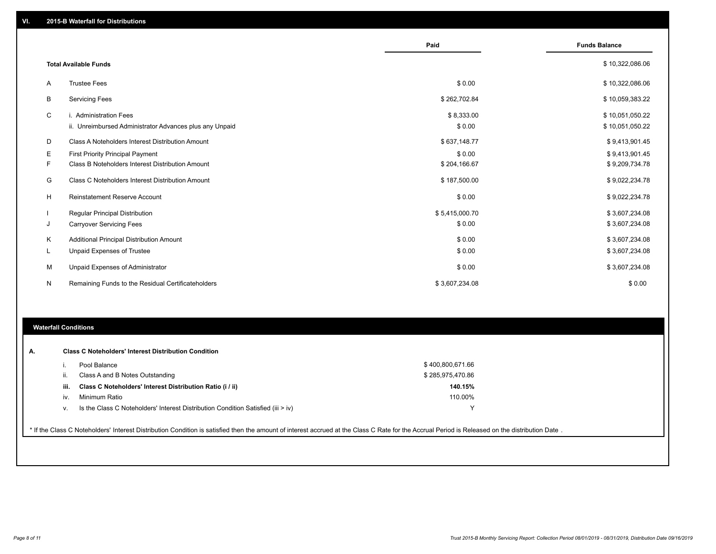|    |                                                         | Paid           | <b>Funds Balance</b> |
|----|---------------------------------------------------------|----------------|----------------------|
|    | <b>Total Available Funds</b>                            |                | \$10,322,086.06      |
| A  | <b>Trustee Fees</b>                                     | \$0.00         | \$10,322,086.06      |
| В  | <b>Servicing Fees</b>                                   | \$262,702.84   | \$10,059,383.22      |
| С  | i. Administration Fees                                  | \$8,333.00     | \$10,051,050.22      |
|    | ii. Unreimbursed Administrator Advances plus any Unpaid | \$0.00         | \$10,051,050.22      |
| D  | Class A Noteholders Interest Distribution Amount        | \$637,148.77   | \$9,413,901.45       |
| Е  | <b>First Priority Principal Payment</b>                 | \$0.00         | \$9,413,901.45       |
| F. | Class B Noteholders Interest Distribution Amount        | \$204,166.67   | \$9,209,734.78       |
| G  | Class C Noteholders Interest Distribution Amount        | \$187,500.00   | \$9,022,234.78       |
| H  | <b>Reinstatement Reserve Account</b>                    | \$0.00         | \$9,022,234.78       |
|    | <b>Regular Principal Distribution</b>                   | \$5,415,000.70 | \$3,607,234.08       |
| J  | <b>Carryover Servicing Fees</b>                         | \$0.00         | \$3,607,234.08       |
| Κ  | Additional Principal Distribution Amount                | \$0.00         | \$3,607,234.08       |
| L  | Unpaid Expenses of Trustee                              | \$0.00         | \$3,607,234.08       |
| M  | Unpaid Expenses of Administrator                        | \$0.00         | \$3,607,234.08       |
| N  | Remaining Funds to the Residual Certificateholders      | \$3,607,234.08 | \$0.00               |

### **Waterfall Conditions**

| А. |      | <b>Class C Noteholders' Interest Distribution Condition</b>                                                                                                                                     |                  |  |
|----|------|-------------------------------------------------------------------------------------------------------------------------------------------------------------------------------------------------|------------------|--|
|    |      | Pool Balance                                                                                                                                                                                    | \$400,800,671.66 |  |
|    |      | Class A and B Notes Outstanding                                                                                                                                                                 | \$285,975,470.86 |  |
|    | iii. | Class C Noteholders' Interest Distribution Ratio (i / ii)                                                                                                                                       | 140.15%          |  |
|    | iv.  | Minimum Ratio                                                                                                                                                                                   | 110.00%          |  |
|    |      | Is the Class C Noteholders' Interest Distribution Condition Satisfied (iii $>$ iv)                                                                                                              | $\checkmark$     |  |
|    |      |                                                                                                                                                                                                 |                  |  |
|    |      | * If the Class C Noteholders' Interest Distribution Condition is satisfied then the amount of interest accrued at the Class C Rate for the Accrual Period is Released on the distribution Date. |                  |  |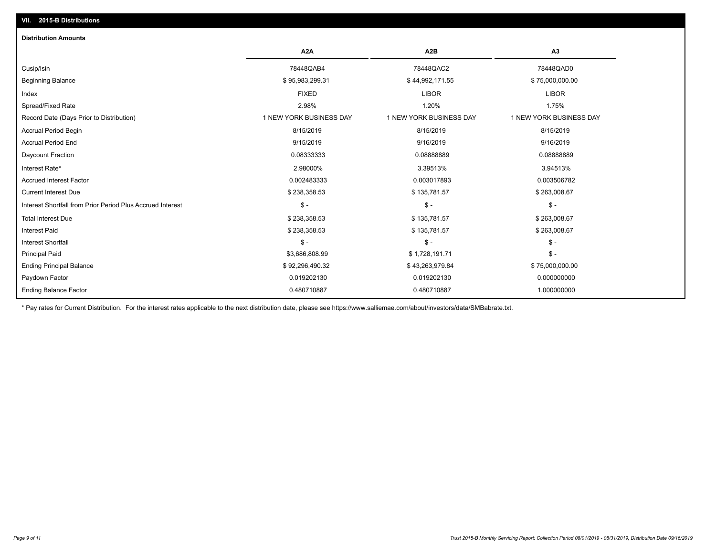| <b>Distribution Amounts</b>                                |                         |                         |                         |
|------------------------------------------------------------|-------------------------|-------------------------|-------------------------|
|                                                            | A2A                     | A2B                     | A3                      |
| Cusip/Isin                                                 | 78448QAB4               | 78448QAC2               | 78448QAD0               |
| <b>Beginning Balance</b>                                   | \$95,983,299.31         | \$44,992,171.55         | \$75,000,000.00         |
| Index                                                      | <b>FIXED</b>            | <b>LIBOR</b>            | <b>LIBOR</b>            |
| Spread/Fixed Rate                                          | 2.98%                   | 1.20%                   | 1.75%                   |
| Record Date (Days Prior to Distribution)                   | 1 NEW YORK BUSINESS DAY | 1 NEW YORK BUSINESS DAY | 1 NEW YORK BUSINESS DAY |
| <b>Accrual Period Begin</b>                                | 8/15/2019               | 8/15/2019               | 8/15/2019               |
| <b>Accrual Period End</b>                                  | 9/15/2019               | 9/16/2019               | 9/16/2019               |
| Daycount Fraction                                          | 0.08333333              | 0.08888889              | 0.08888889              |
| Interest Rate*                                             | 2.98000%                | 3.39513%                | 3.94513%                |
| <b>Accrued Interest Factor</b>                             | 0.002483333             | 0.003017893             | 0.003506782             |
| <b>Current Interest Due</b>                                | \$238,358.53            | \$135,781.57            | \$263,008.67            |
| Interest Shortfall from Prior Period Plus Accrued Interest | $\frac{1}{2}$           | $$ -$                   | $\frac{1}{2}$           |
| <b>Total Interest Due</b>                                  | \$238,358.53            | \$135,781.57            | \$263,008.67            |
| <b>Interest Paid</b>                                       | \$238,358.53            | \$135,781.57            | \$263,008.67            |
| <b>Interest Shortfall</b>                                  | $\mathsf{\$}$ -         | $$ -$                   | $\mathsf{\$}$ -         |
| <b>Principal Paid</b>                                      | \$3,686,808.99          | \$1,728,191.71          | $$ -$                   |
| <b>Ending Principal Balance</b>                            | \$92,296,490.32         | \$43,263,979.84         | \$75,000,000.00         |
| Paydown Factor                                             | 0.019202130             | 0.019202130             | 0.000000000             |
| <b>Ending Balance Factor</b>                               | 0.480710887             | 0.480710887             | 1.000000000             |

\* Pay rates for Current Distribution. For the interest rates applicable to the next distribution date, please see https://www.salliemae.com/about/investors/data/SMBabrate.txt.

**VII. 2015-B Distributions**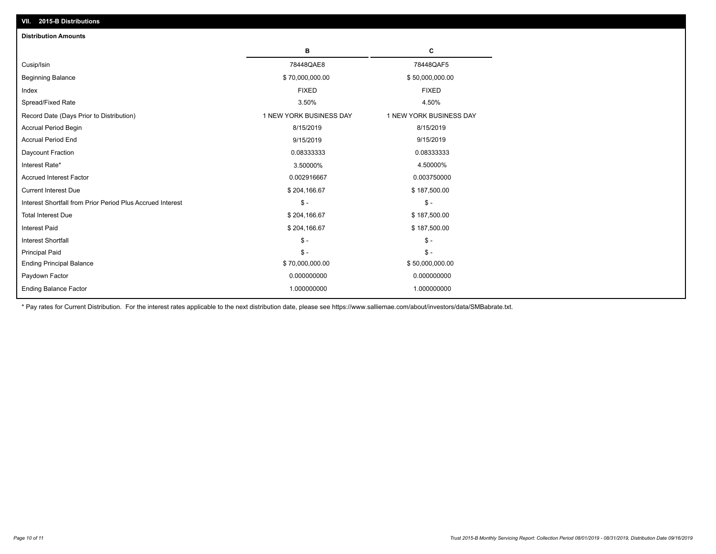| VII. 2015-B Distributions                                  |                         |                         |
|------------------------------------------------------------|-------------------------|-------------------------|
| <b>Distribution Amounts</b>                                |                         |                         |
|                                                            | в                       | C                       |
| Cusip/Isin                                                 | 78448QAE8               | 78448QAF5               |
| <b>Beginning Balance</b>                                   | \$70,000,000.00         | \$50,000,000.00         |
| Index                                                      | <b>FIXED</b>            | <b>FIXED</b>            |
| Spread/Fixed Rate                                          | 3.50%                   | 4.50%                   |
| Record Date (Days Prior to Distribution)                   | 1 NEW YORK BUSINESS DAY | 1 NEW YORK BUSINESS DAY |
| <b>Accrual Period Begin</b>                                | 8/15/2019               | 8/15/2019               |
| <b>Accrual Period End</b>                                  | 9/15/2019               | 9/15/2019               |
| Daycount Fraction                                          | 0.08333333              | 0.08333333              |
| Interest Rate*                                             | 3.50000%                | 4.50000%                |
| <b>Accrued Interest Factor</b>                             | 0.002916667             | 0.003750000             |
| <b>Current Interest Due</b>                                | \$204,166.67            | \$187,500.00            |
| Interest Shortfall from Prior Period Plus Accrued Interest | $\mathsf{\$}$ -         | $\frac{1}{2}$           |
| <b>Total Interest Due</b>                                  | \$204,166.67            | \$187,500.00            |
| <b>Interest Paid</b>                                       | \$204,166.67            | \$187,500.00            |
| Interest Shortfall                                         | $\mathcal{S}$ -         | $\frac{1}{2}$           |
| <b>Principal Paid</b>                                      | $$ -$                   | $\mathsf{\$}$ -         |
| <b>Ending Principal Balance</b>                            | \$70,000,000.00         | \$50,000,000.00         |
| Paydown Factor                                             | 0.000000000             | 0.000000000             |
| <b>Ending Balance Factor</b>                               | 1.000000000             | 1.000000000             |
|                                                            |                         |                         |

\* Pay rates for Current Distribution. For the interest rates applicable to the next distribution date, please see https://www.salliemae.com/about/investors/data/SMBabrate.txt.